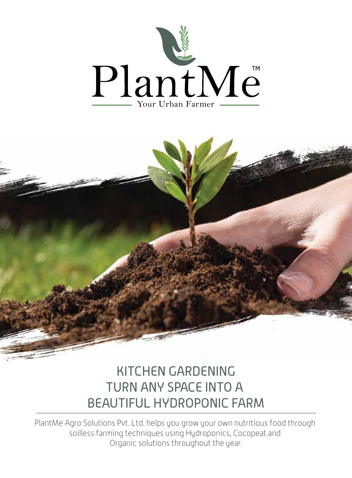



# KITCHEN GARDENING TURN ANY SPACE INTO A BEAUTIFUL HYDROPONIC FARM

PlantMe Agro Solutions Pvt. Ltd. helps you grow your own nutritious food through soilless farming techniques using Hydroponics, Cocopeat and Organic solutions throughout the year.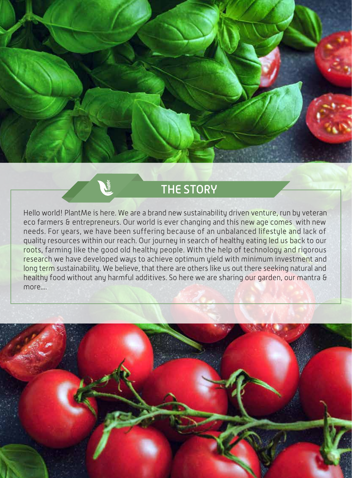

## THE STORY

Hello world! PlantMe is here. We are a brand new sustainability driven venture, run by veteran eco farmers & entrepreneurs. Our world is ever changing and this new age comes with new needs. For years, we have been suffering because of an unbalanced lifestyle and lack of quality resources within our reach. Our journey in search of healthy eating led us back to our roots, farming like the good old healthy people. With the help of technology and rigorous research we have developed ways to achieve optimum yield with minimum investment and long term sustainability. We believe, that there are others like us out there seeking natural and healthy food without any harmful additives. So here we are sharing our garden, our mantra & more....

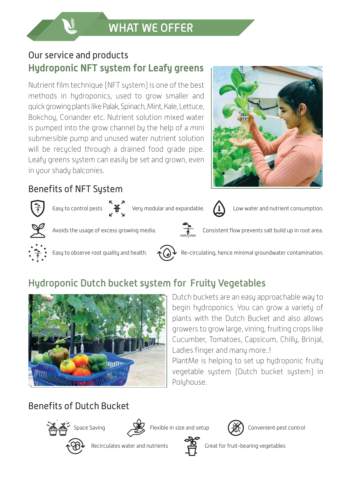## Our service and products **Hydroponic NFT system for Leafy greens**

Nutrient film technique (NFT system) is one of the best methods in hydroponics, used to grow smaller and quick growing plants like Palak, Spinach, Mint, Kale, Lettuce, Bokchoy, Coriander etc. Nutrient solution mixed water is pumped into the grow channel by the help of a mini submersible pump and unused water nutrient solution will be recycled through a drained food grade pipe. Leafy greens system can easily be set and grown, even in your shady balconies.

#### Benefits of NFT System



Easy to control pests  $\begin{matrix} 5 & 7 \\ 1 & 1 \end{matrix}$  Very modular and expandable.  $\begin{matrix} 1 & 1 \end{matrix}$  Low water and nutrient consumption.





Avoids the usage of excess growing media. Consistent flow prevents salt build up in root area.





Easy to observe root quality and health.  $\bigcirc$  Re-circulating, hence minimal groundwater contamination.

## Hydroponic Dutch bucket system for Fruity Vegetables



Dutch buckets are an easy approachable way to begin hydroponics. You can grow a variety of plants with the Dutch Bucket and also allows growers to grow large, vining, fruiting crops like Cucumber, Tomatoes, Capsicum, Chilly, Brinjal, Ladies finger and many more..!

PlantMe is helping to set up hydroponic fruity vegetable system (Dutch bucket system) in Polyhouse.

## Benefits of Dutch Bucket





Space Saving **Space Saving Flexible in size and setup**  $\left(\frac{\partial f}{\partial \lambda}\right)$  Convenient pest control





Recirculates water and nutrients  $\overline{Q}$  Great for fruit-bearing vegetables



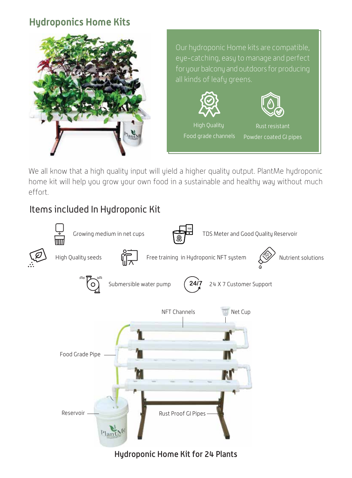#### **Hydroponics Home Kits**



Our hydroponic Home kits are compatible, eye-catching, easy to manage and perfect for your balcony and outdoors for producing all kinds of leafy greens.





High Quality Food grade channels

Rust resistant Powder coated GI pipes

We all know that a high quality input will yield a higher quality output. PlantMe hydroponic home kit will help you grow your own food in a sustainable and healthy way without much effort.

## Items included In Hydroponic Kit



Hydroponic Home Kit for 24 Plants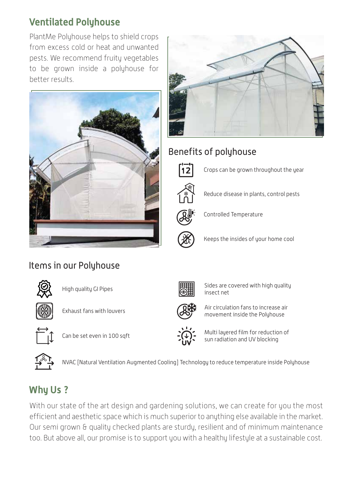#### **Ventilated Polyhouse**

PlantMe Polyhouse helps to shield crops from excess cold or heat and unwanted pests. We recommend fruity vegetables to be grown inside a polyhouse for better results.





## Benefits of polyhouse



Crops can be grown throughout the year

Reduce disease in plants, control pests



Controlled Temperature



Keeps the insides of your home cool

High quality GI Pipes

Items in our Polyhouse



Exhaust fans with louvers



Can be set even in 100 sqft



NVAC [Natural Ventilation Augmented Cooling] Technology to reduce temperature inside Polyhouse

## **Why Us ?**

With our state of the art design and gardening solutions, we can create for you the most efficient and aesthetic space which is much superior to anything else available in the market. Our semi grown & quality checked plants are sturdy, resilient and of minimum maintenance too. But above all, our promise is to support you with a healthy lifestyle at a sustainable cost.



Sides are covered with high quality insect net



Air circulation fans to increase air movement inside the Polyhouse



Multi layered film for reduction of sun radiation and UV blocking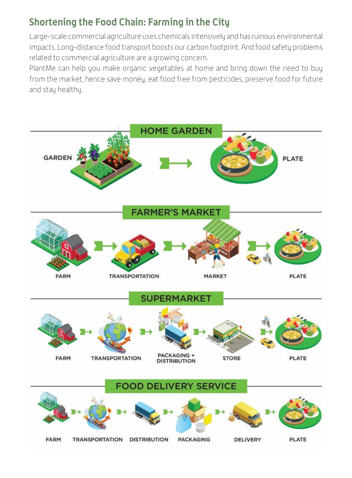#### **Shortening the Food Chain: Farming in the City**

Large-scale commercial agriculture uses chemicals intensively and has ruinous environmental impacts. Long-distance food transport boosts our carbon footprint. And food safety problems related to commercial agriculture are a growing concern.

PlantMe can help you make organic vegetables at home and bring down the need to buy from the market, hence save money, eat food free from pesticides, preserve food for future and stay healthy.

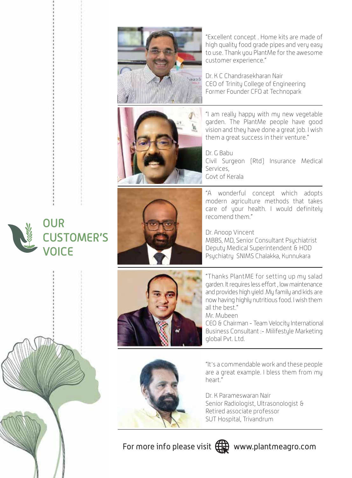

"Excellent concept . Home kits are made of high quality food grade pipes and very easy to use. Thank you PlantMe for the awesome customer experience."

Dr. K C Chandrasekharan Nair CEO of Trinity College of Engineering Former Founder CFO at Technopark



"I am really happy with my new vegetable garden. The PlantMe people have good vision and they have done a great job. I wish them a great success in their venture."

Dr. G Babu Civil Surgeon (Rtd) Insurance Medical Services, Govt of Kerala

"A wonderful concept which adopts modern agriculture methods that takes care of your health. I would definitely recomend them."

Dr. Anoop Vincent MBBS, MD, Senior Consultant Psychiatrist Deputy Medical Superintendent & HOD Psychiatry SNIMS Chalakka, Kunnukara



"Thanks PlantME for setting up my salad garden. It requires less effort , low maintenance and provides high yield .My family and kids are now having highly nutritious food. I wish them all the best."

Mr. Mubeen

CEO & Chairman - Team Velocity International Business Consultant :- Milifestyle Marketing global Pvt. Ltd.

"It's a commendable work and these people are a great example. I bless them from my heart"

Dr. K Parameswaran Nair Senior Radiologist, Ultrasonologist & Retired associate professor SUT Hospital, Trivandrum

For more info please visit  $\bigoplus$  www.plantmeagro.com